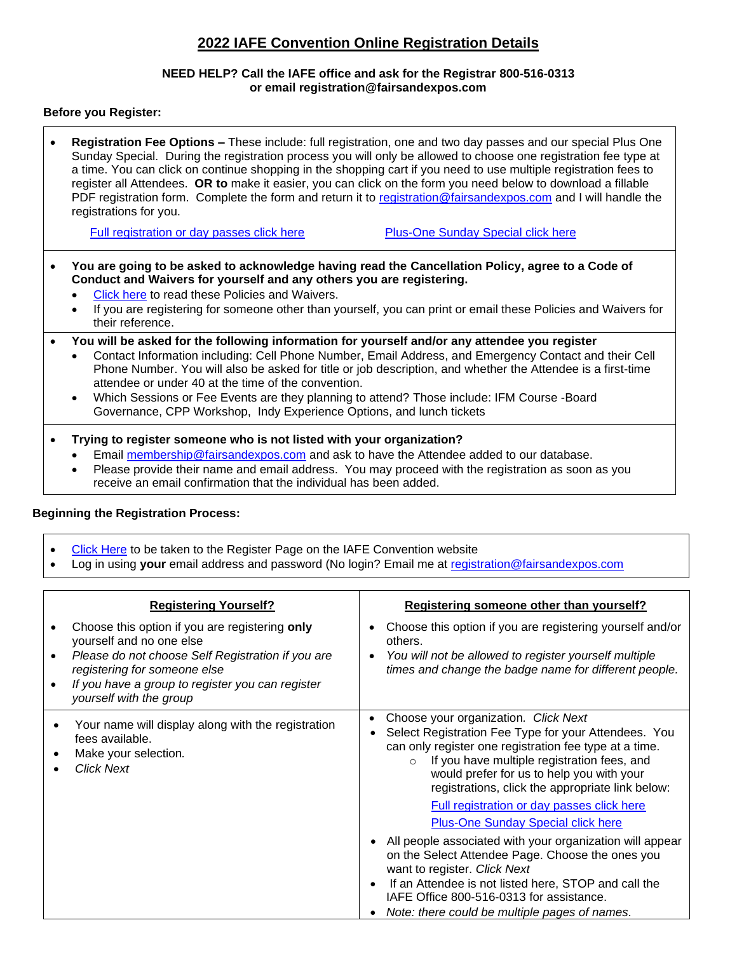# **2022 IAFE Convention Online Registration Details**

### **NEED HELP? Call the IAFE office and ask for the Registrar 800-516-0313 or email registration@fairsandexpos.com**

## **Before you Register:**

| Registration Fee Options - These include: full registration, one and two day passes and our special Plus One<br>Sunday Special. During the registration process you will only be allowed to choose one registration fee type at<br>a time. You can click on continue shopping in the shopping cart if you need to use multiple registration fees to<br>register all Attendees. OR to make it easier, you can click on the form you need below to download a fillable<br>PDF registration form. Complete the form and return it to registration@fairsandexpos.com and I will handle the<br>registrations for you. |  |  |
|------------------------------------------------------------------------------------------------------------------------------------------------------------------------------------------------------------------------------------------------------------------------------------------------------------------------------------------------------------------------------------------------------------------------------------------------------------------------------------------------------------------------------------------------------------------------------------------------------------------|--|--|
| <b>Plus-One Sunday Special click here</b><br>Full registration or day passes click here                                                                                                                                                                                                                                                                                                                                                                                                                                                                                                                          |  |  |
| You are going to be asked to acknowledge having read the Cancellation Policy, agree to a Code of<br>Conduct and Waivers for yourself and any others you are registering.<br>Click here to read these Policies and Waivers.<br>If you are registering for someone other than yourself, you can print or email these Policies and Waivers for<br>their reference.                                                                                                                                                                                                                                                  |  |  |
| You will be asked for the following information for yourself and/or any attendee you register<br>Contact Information including: Cell Phone Number, Email Address, and Emergency Contact and their Cell<br>$\bullet$<br>Phone Number. You will also be asked for title or job description, and whether the Attendee is a first-time<br>attendee or under 40 at the time of the convention.<br>Which Sessions or Fee Events are they planning to attend? Those include: IFM Course -Board<br>$\bullet$<br>Governance, CPP Workshop, Indy Experience Options, and lunch tickets                                     |  |  |
| Trying to register someone who is not listed with your organization?<br>Email membership@fairsandexpos.com and ask to have the Attendee added to our database.<br>Please provide their name and email address. You may proceed with the registration as soon as you<br>receive an email confirmation that the individual has been added.                                                                                                                                                                                                                                                                         |  |  |

## **Beginning the Registration Process:**

- [Click Here](https://www.iafeconvention.com/register) to be taken to the Register Page on the IAFE Convention website
- Log in using **your** email address and password (No login? Email me at [registration@fairsandexpos.com](file://///server16/share/Convention/2022%20Convention/Registrar-2022%20Convention/Registration%20Documents/registration@fairsandexpos.com)

| <b>Registering Yourself?</b>                                                                                                                                                                                                                   | Registering someone other than yourself?                                                                                                                                                                                                                                                                                                                                                                                                                                                                                                                                                                                                                                                                           |
|------------------------------------------------------------------------------------------------------------------------------------------------------------------------------------------------------------------------------------------------|--------------------------------------------------------------------------------------------------------------------------------------------------------------------------------------------------------------------------------------------------------------------------------------------------------------------------------------------------------------------------------------------------------------------------------------------------------------------------------------------------------------------------------------------------------------------------------------------------------------------------------------------------------------------------------------------------------------------|
| Choose this option if you are registering only<br>yourself and no one else<br>Please do not choose Self Registration if you are<br>registering for someone else<br>If you have a group to register you can register<br>yourself with the group | Choose this option if you are registering yourself and/or<br>others.<br>You will not be allowed to register yourself multiple<br>times and change the badge name for different people.                                                                                                                                                                                                                                                                                                                                                                                                                                                                                                                             |
| Your name will display along with the registration<br>fees available.<br>Make your selection.<br><b>Click Next</b>                                                                                                                             | Choose your organization. Click Next<br>Select Registration Fee Type for your Attendees. You<br>can only register one registration fee type at a time.<br>If you have multiple registration fees, and<br>$\Omega$<br>would prefer for us to help you with your<br>registrations, click the appropriate link below:<br>Full registration or day passes click here<br><b>Plus-One Sunday Special click here</b><br>All people associated with your organization will appear<br>on the Select Attendee Page. Choose the ones you<br>want to register. Click Next<br>If an Attendee is not listed here, STOP and call the<br>IAFE Office 800-516-0313 for assistance.<br>Note: there could be multiple pages of names. |